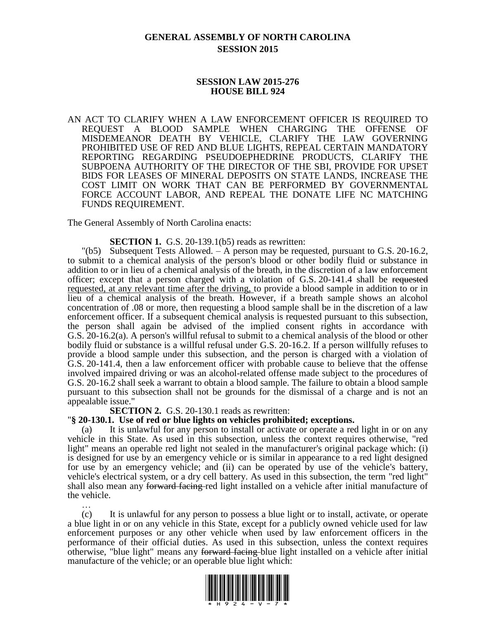# **GENERAL ASSEMBLY OF NORTH CAROLINA SESSION 2015**

#### **SESSION LAW 2015-276 HOUSE BILL 924**

AN ACT TO CLARIFY WHEN A LAW ENFORCEMENT OFFICER IS REQUIRED TO REQUEST A BLOOD SAMPLE WHEN CHARGING THE OFFENSE OF MISDEMEANOR DEATH BY VEHICLE, CLARIFY THE LAW GOVERNING PROHIBITED USE OF RED AND BLUE LIGHTS, REPEAL CERTAIN MANDATORY REPORTING REGARDING PSEUDOEPHEDRINE PRODUCTS, CLARIFY THE SUBPOENA AUTHORITY OF THE DIRECTOR OF THE SBI, PROVIDE FOR UPSET BIDS FOR LEASES OF MINERAL DEPOSITS ON STATE LANDS, INCREASE THE COST LIMIT ON WORK THAT CAN BE PERFORMED BY GOVERNMENTAL FORCE ACCOUNT LABOR, AND REPEAL THE DONATE LIFE NC MATCHING FUNDS REQUIREMENT.

The General Assembly of North Carolina enacts:

**SECTION 1.** G.S. 20-139.1(b5) reads as rewritten:

 $\degree$  (b5) Subsequent Tests Allowed. – A person may be requested, pursuant to G.S. 20-16.2, to submit to a chemical analysis of the person's blood or other bodily fluid or substance in addition to or in lieu of a chemical analysis of the breath, in the discretion of a law enforcement officer; except that a person charged with a violation of G.S. 20-141.4 shall be requested requested, at any relevant time after the driving, to provide a blood sample in addition to or in lieu of a chemical analysis of the breath. However, if a breath sample shows an alcohol concentration of .08 or more, then requesting a blood sample shall be in the discretion of a law enforcement officer. If a subsequent chemical analysis is requested pursuant to this subsection, the person shall again be advised of the implied consent rights in accordance with G.S. 20-16.2(a). A person's willful refusal to submit to a chemical analysis of the blood or other bodily fluid or substance is a willful refusal under G.S. 20-16.2. If a person willfully refuses to provide a blood sample under this subsection, and the person is charged with a violation of G.S. 20-141.4, then a law enforcement officer with probable cause to believe that the offense involved impaired driving or was an alcohol-related offense made subject to the procedures of G.S. 20-16.2 shall seek a warrant to obtain a blood sample. The failure to obtain a blood sample pursuant to this subsection shall not be grounds for the dismissal of a charge and is not an appealable issue."

**SECTION 2.** G.S. 20-130.1 reads as rewritten:

#### "**§ 20-130.1. Use of red or blue lights on vehicles prohibited; exceptions.**

(a) It is unlawful for any person to install or activate or operate a red light in or on any vehicle in this State. As used in this subsection, unless the context requires otherwise, "red light" means an operable red light not sealed in the manufacturer's original package which: (i) is designed for use by an emergency vehicle or is similar in appearance to a red light designed for use by an emergency vehicle; and (ii) can be operated by use of the vehicle's battery, vehicle's electrical system, or a dry cell battery. As used in this subsection, the term "red light" shall also mean any forward facing-red light installed on a vehicle after initial manufacture of the vehicle.

… (c) It is unlawful for any person to possess a blue light or to install, activate, or operate a blue light in or on any vehicle in this State, except for a publicly owned vehicle used for law enforcement purposes or any other vehicle when used by law enforcement officers in the performance of their official duties. As used in this subsection, unless the context requires otherwise, "blue light" means any forward facing blue light installed on a vehicle after initial manufacture of the vehicle; or an operable blue light which:

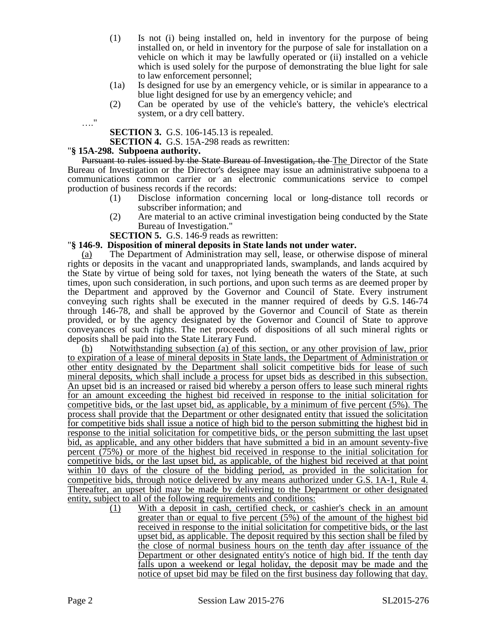- (1) Is not (i) being installed on, held in inventory for the purpose of being installed on, or held in inventory for the purpose of sale for installation on a vehicle on which it may be lawfully operated or (ii) installed on a vehicle which is used solely for the purpose of demonstrating the blue light for sale to law enforcement personnel;
- (1a) Is designed for use by an emergency vehicle, or is similar in appearance to a blue light designed for use by an emergency vehicle; and
- (2) Can be operated by use of the vehicle's battery, the vehicle's electrical system, or a dry cell battery.

**SECTION 3.** G.S. 106-145.13 is repealed.

**SECTION 4.** G.S. 15A-298 reads as rewritten:

### "**§ 15A-298. Subpoena authority.**

…."

Pursuant to rules issued by the State Bureau of Investigation, the The Director of the State Bureau of Investigation or the Director's designee may issue an administrative subpoena to a communications common carrier or an electronic communications service to compel production of business records if the records:

- (1) Disclose information concerning local or long-distance toll records or subscriber information; and
- (2) Are material to an active criminal investigation being conducted by the State Bureau of Investigation."

**SECTION 5.** G.S. 146-9 reads as rewritten:

## "**§ 146-9. Disposition of mineral deposits in State lands not under water.**

(a) The Department of Administration may sell, lease, or otherwise dispose of mineral rights or deposits in the vacant and unappropriated lands, swamplands, and lands acquired by the State by virtue of being sold for taxes, not lying beneath the waters of the State, at such times, upon such consideration, in such portions, and upon such terms as are deemed proper by the Department and approved by the Governor and Council of State. Every instrument conveying such rights shall be executed in the manner required of deeds by G.S. 146-74 through 146-78, and shall be approved by the Governor and Council of State as therein provided, or by the agency designated by the Governor and Council of State to approve conveyances of such rights. The net proceeds of dispositions of all such mineral rights or deposits shall be paid into the State Literary Fund.

(b) Notwithstanding subsection (a) of this section, or any other provision of law, prior to expiration of a lease of mineral deposits in State lands, the Department of Administration or other entity designated by the Department shall solicit competitive bids for lease of such mineral deposits, which shall include a process for upset bids as described in this subsection. An upset bid is an increased or raised bid whereby a person offers to lease such mineral rights for an amount exceeding the highest bid received in response to the initial solicitation for competitive bids, or the last upset bid, as applicable, by a minimum of five percent (5%). The process shall provide that the Department or other designated entity that issued the solicitation for competitive bids shall issue a notice of high bid to the person submitting the highest bid in response to the initial solicitation for competitive bids, or the person submitting the last upset bid, as applicable, and any other bidders that have submitted a bid in an amount seventy-five percent (75%) or more of the highest bid received in response to the initial solicitation for competitive bids, or the last upset bid, as applicable, of the highest bid received at that point within 10 days of the closure of the bidding period, as provided in the solicitation for competitive bids, through notice delivered by any means authorized under G.S. 1A-1, Rule 4. Thereafter, an upset bid may be made by delivering to the Department or other designated entity, subject to all of the following requirements and conditions:

(1) With a deposit in cash, certified check, or cashier's check in an amount greater than or equal to five percent (5%) of the amount of the highest bid received in response to the initial solicitation for competitive bids, or the last upset bid, as applicable. The deposit required by this section shall be filed by the close of normal business hours on the tenth day after issuance of the Department or other designated entity's notice of high bid. If the tenth day falls upon a weekend or legal holiday, the deposit may be made and the notice of upset bid may be filed on the first business day following that day.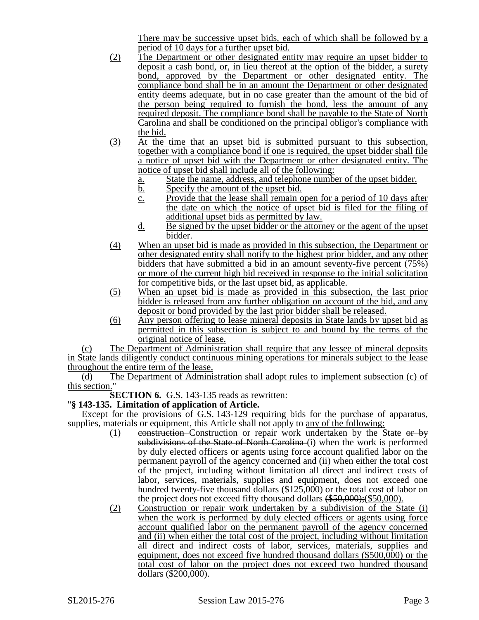There may be successive upset bids, each of which shall be followed by a period of 10 days for a further upset bid.

- (2) The Department or other designated entity may require an upset bidder to deposit a cash bond, or, in lieu thereof at the option of the bidder, a surety bond, approved by the Department or other designated entity. The compliance bond shall be in an amount the Department or other designated entity deems adequate, but in no case greater than the amount of the bid of the person being required to furnish the bond, less the amount of any required deposit. The compliance bond shall be payable to the State of North Carolina and shall be conditioned on the principal obligor's compliance with the bid.
- (3) At the time that an upset bid is submitted pursuant to this subsection, together with a compliance bond if one is required, the upset bidder shall file a notice of upset bid with the Department or other designated entity. The notice of upset bid shall include all of the following:
	- a. State the name, address, and telephone number of the upset bidder.
	- b. Specify the amount of the upset bid.
	- c. Provide that the lease shall remain open for a period of 10 days after the date on which the notice of upset bid is filed for the filing of additional upset bids as permitted by law.
	- d. Be signed by the upset bidder or the attorney or the agent of the upset bidder.
- (4) When an upset bid is made as provided in this subsection, the Department or other designated entity shall notify to the highest prior bidder, and any other bidders that have submitted a bid in an amount seventy-five percent (75%) or more of the current high bid received in response to the initial solicitation for competitive bids, or the last upset bid, as applicable.
- (5) When an upset bid is made as provided in this subsection, the last prior bidder is released from any further obligation on account of the bid, and any deposit or bond provided by the last prior bidder shall be released.
- (6) Any person offering to lease mineral deposits in State lands by upset bid as permitted in this subsection is subject to and bound by the terms of the original notice of lease.

(c) The Department of Administration shall require that any lessee of mineral deposits in State lands diligently conduct continuous mining operations for minerals subject to the lease throughout the entire term of the lease.

(d) The Department of Administration shall adopt rules to implement subsection (c) of this section."

**SECTION 6.** G.S. 143-135 reads as rewritten:

## "**§ 143-135. Limitation of application of Article.**

Except for the provisions of G.S. 143-129 requiring bids for the purchase of apparatus, supplies, materials or equipment, this Article shall not apply to any of the following:

- (1) construction Construction or repair work undertaken by the State or by subdivisions of the State of North Carolina (i) when the work is performed by duly elected officers or agents using force account qualified labor on the permanent payroll of the agency concerned and (ii) when either the total cost of the project, including without limitation all direct and indirect costs of labor, services, materials, supplies and equipment, does not exceed one hundred twenty-five thousand dollars (\$125,000) or the total cost of labor on the project does not exceed fifty thousand dollars (\$50,000);(\$50,000).
- (2) Construction or repair work undertaken by a subdivision of the State (i) when the work is performed by duly elected officers or agents using force account qualified labor on the permanent payroll of the agency concerned and (ii) when either the total cost of the project, including without limitation all direct and indirect costs of labor, services, materials, supplies and equipment, does not exceed five hundred thousand dollars (\$500,000) or the total cost of labor on the project does not exceed two hundred thousand dollars (\$200,000).